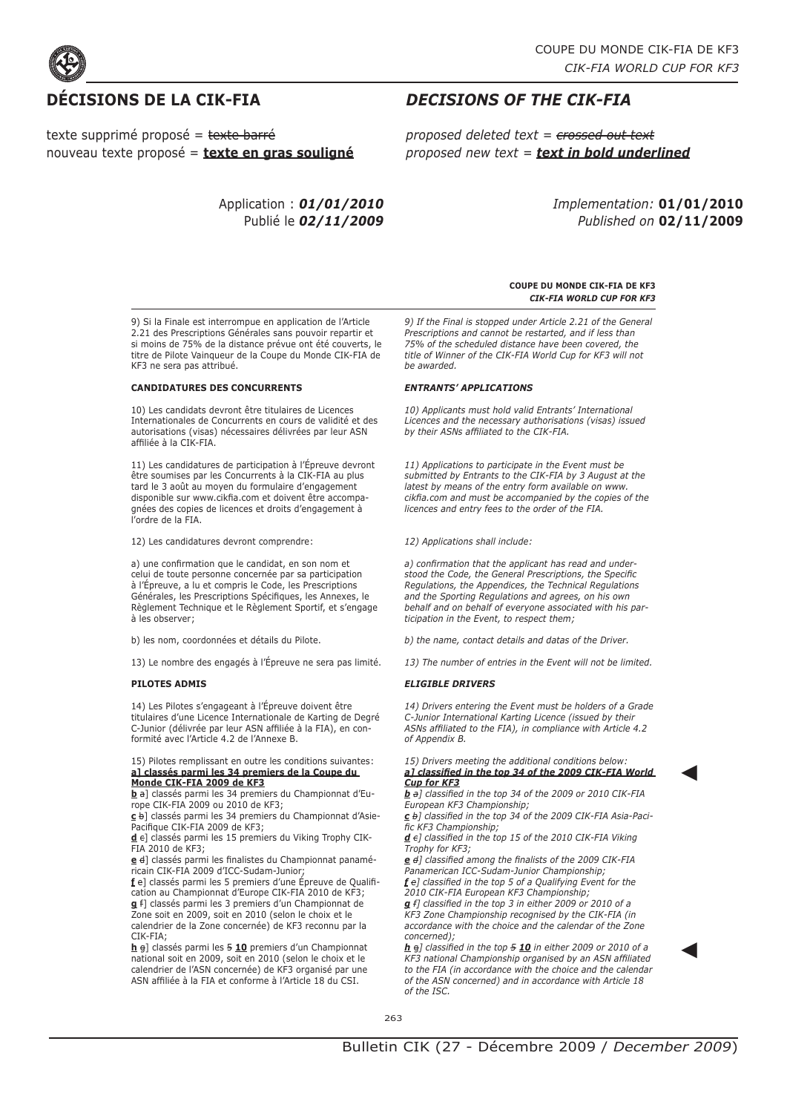

texte supprimé proposé = texte barré nouveau texte proposé = **texte en gras souligné**

## Application : *01/01/2010* Publié le *02/11/2009*

## *Implementation:* **01/01/2010** *Published on* **02/11/2009**

◄

◄

### **COUPE DU MONDE CIK-FIA DE KF3** *CIK-FIA WORLD CUP FOR KF3*

9) Si la Finale est interrompue en application de l'Article 2.21 des Prescriptions Générales sans pouvoir repartir et si moins de 75% de la distance prévue ont été couverts, le titre de Pilote Vainqueur de la Coupe du Monde CIK-FIA de KF3 ne sera pas attribué.

### **CANDIDATURES DES CONCURRENTS**

10) Les candidats devront être titulaires de Licences Internationales de Concurrents en cours de validité et des autorisations (visas) nécessaires délivrées par leur ASN affiliée à la CIK-FIA.

11) Les candidatures de participation à l'Épreuve devront être soumises par les Concurrents à la CIK-FIA au plus tard le 3 août au moyen du formulaire d'engagement disponible sur www.cikfia.com et doivent être accompagnées des copies de licences et droits d'engagement à l'ordre de la FIA.

12) Les candidatures devront comprendre:

a) une confirmation que le candidat, en son nom et celui de toute personne concernée par sa participation à l'Épreuve, a lu et compris le Code, les Prescriptions Générales, les Prescriptions Spécifiques, les Annexes, le Règlement Technique et le Règlement Sportif, et s'engage à les observer;

b) les nom, coordonnées et détails du Pilote.

13) Le nombre des engagés à l'Épreuve ne sera pas limité.

### **PILOTES ADMIS**

14) Les Pilotes s'engageant à l'Épreuve doivent être titulaires d'une Licence Internationale de Karting de Degré C-Junior (délivrée par leur ASN affiliée à la FIA), en conformité avec l'Article 4.2 de l'Annexe B.

15) Pilotes remplissant en outre les conditions suivantes: **a] classés parmi les 34 premiers de la Coupe du Monde CIK-FIA 2009 de KF3**

**b** a] classés parmi les 34 premiers du Championnat d'Europe CIK-FIA 2009 ou 2010 de KF3;

**c** b] classés parmi les 34 premiers du Championnat d'Asie-Pacifique CIK-FIA 2009 de KF3;

**d** c] classés parmi les 15 premiers du Viking Trophy CIK-FIA 2010 de KF3;

**e** d] classés parmi les finalistes du Championnat panaméricain CIK-FIA 2009 d'ICC-Sudam-Junior;

**f** e] classés parmi les 5 premiers d'une Épreuve de Qualification au Championnat d'Europe CIK-FIA 2010 de KF3; **g** f] classés parmi les 3 premiers d'un Championnat de

Zone soit en 2009, soit en 2010 (selon le choix et le calendrier de la Zone concernée) de KF3 reconnu par la CIK-FIA;

**h** g] classés parmi les 5 **10** premiers d'un Championnat national soit en 2009, soit en 2010 (selon le choix et le calendrier de l'ASN concernée) de KF3 organisé par une ASN affiliée à la FIA et conforme à l'Article 18 du CSI.

*9) If the Final is stopped under Article 2.21 of the General Prescriptions and cannot be restarted, and if less than 75% of the scheduled distance have been covered, the title of Winner of the CIK-FIA World Cup for KF3 will not be awarded.*

*DECISIONS OF THE CIK-FIA*

*proposed deleted text = crossed out text proposed new text = text in bold underlined*

### *ENTRANTS' APPLICATIONS*

*10) Applicants must hold valid Entrants' International Licences and the necessary authorisations (visas) issued by their ASNs affiliated to the CIK-FIA.*

*11) Applications to participate in the Event must be submitted by Entrants to the CIK-FIA by 3 August at the latest by means of the entry form available on www. cikfia.com and must be accompanied by the copies of the licences and entry fees to the order of the FIA.*

*12) Applications shall include:*

*a) confirmation that the applicant has read and understood the Code, the General Prescriptions, the Specific Regulations, the Appendices, the Technical Regulations and the Sporting Regulations and agrees, on his own behalf and on behalf of everyone associated with his participation in the Event, to respect them;*

*b) the name, contact details and datas of the Driver.*

*13) The number of entries in the Event will not be limited.* 

### *ELIGIBLE DRIVERS*

*14) Drivers entering the Event must be holders of a Grade C-Junior International Karting Licence (issued by their ASNs affiliated to the FIA), in compliance with Article 4.2 of Appendix B.*

### *15) Drivers meeting the additional conditions below: a] classified in the top 34 of the 2009 CIK-FIA World Cup for KF3*

*b a] classified in the top 34 of the 2009 or 2010 CIK-FIA European KF3 Championship;*

*c b] classified in the top 34 of the 2009 CIK-FIA Asia-Pacific KF3 Championship;*

*d c] classified in the top 15 of the 2010 CIK-FIA Viking Trophy for KF3;*

*e d] classified among the finalists of the 2009 CIK-FIA Panamerican ICC-Sudam-Junior Championship;*

*f e] classified in the top 5 of a Qualifying Event for the 2010 CIK-FIA European KF3 Championship;*

*g f] classified in the top 3 in either 2009 or 2010 of a KF3 Zone Championship recognised by the CIK-FIA (in accordance with the choice and the calendar of the Zone concerned);*

*h* g*] classified in the top 5 10 in either 2009 or 2010 of a KF3 national Championship organised by an ASN affiliated to the FIA (in accordance with the choice and the calendar of the ASN concerned) and in accordance with Article 18 of the ISC.*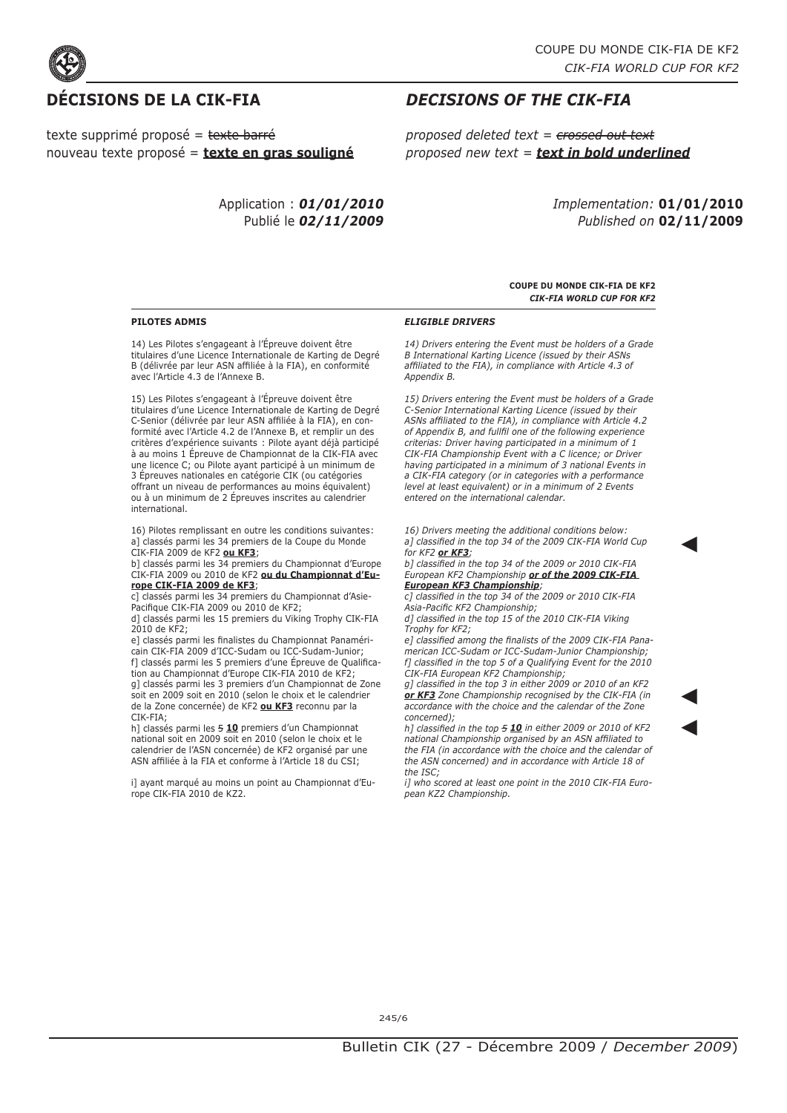

texte supprimé proposé = texte barré nouveau texte proposé = **texte en gras souligné**

> Application : *01/01/2010* Publié le *02/11/2009*

# *DECISIONS OF THE CIK-FIA*

*proposed deleted text = crossed out text proposed new text = text in bold underlined*

> *Implementation:* **01/01/2010** *Published on* **02/11/2009**

> > ◄

◄

◄

### **COUPE DU MONDE CIK-FIA DE KF2** *CIK-FIA WORLD CUP FOR KF2*

### **PILOTES ADMIS**

14) Les Pilotes s'engageant à l'Épreuve doivent être titulaires d'une Licence Internationale de Karting de Degré B (délivrée par leur ASN affiliée à la FIA), en conformité avec l'Article 4.3 de l'Annexe B.

15) Les Pilotes s'engageant à l'Épreuve doivent être titulaires d'une Licence Internationale de Karting de Degré C-Senior (délivrée par leur ASN affiliée à la FIA), en conformité avec l'Article 4.2 de l'Annexe B, et remplir un des critères d'expérience suivants : Pilote ayant déjà participé à au moins 1 Épreuve de Championnat de la CIK-FIA avec une licence C; ou Pilote ayant participé à un minimum de 3 Épreuves nationales en catégorie CIK (ou catégories offrant un niveau de performances au moins équivalent) ou à un minimum de 2 Épreuves inscrites au calendrier international.

16) Pilotes remplissant en outre les conditions suivantes: a] classés parmi les 34 premiers de la Coupe du Monde CIK-FIA 2009 de KF2 **ou KF3**;

b] classés parmi les 34 premiers du Championnat d'Europe CIK-FIA 2009 ou 2010 de KF2 **ou du Championnat d'Europe CIK-FIA 2009 de KF3**;

c] classés parmi les 34 premiers du Championnat d'Asie-Pacifique CIK-FIA 2009 ou 2010 de KF2;

d] classés parmi les 15 premiers du Viking Trophy CIK-FIA 2010 de KF2;

e] classés parmi les finalistes du Championnat Panaméricain CIK-FIA 2009 d'ICC-Sudam ou ICC-Sudam-Junior; f] classés parmi les 5 premiers d'une Épreuve de Qualification au Championnat d'Europe CIK-FIA 2010 de KF2; g] classés parmi les 3 premiers d'un Championnat de Zone soit en 2009 soit en 2010 (selon le choix et le calendrier de la Zone concernée) de KF2 **ou KF3** reconnu par la CIK-FIA;

h] classés parmi les 5 **10** premiers d'un Championnat national soit en 2009 soit en 2010 (selon le choix et le calendrier de l'ASN concernée) de KF2 organisé par une ASN affiliée à la FIA et conforme à l'Article 18 du CSI;

i] ayant marqué au moins un point au Championnat d'Europe CIK-FIA 2010 de KZ2.

### *ELIGIBLE DRIVERS*

*14) Drivers entering the Event must be holders of a Grade B International Karting Licence (issued by their ASNs affiliated to the FIA), in compliance with Article 4.3 of Appendix B.*

*15) Drivers entering the Event must be holders of a Grade C-Senior International Karting Licence (issued by their ASNs affiliated to the FIA), in compliance with Article 4.2 of Appendix B, and fullfil one of the following experience criterias: Driver having participated in a minimum of 1 CIK-FIA Championship Event with a C licence; or Driver having participated in a minimum of 3 national Events in a CIK-FIA category (or in categories with a performance level at least equivalent) or in a minimum of 2 Events entered on the international calendar.*

*16) Drivers meeting the additional conditions below: a] classified in the top 34 of the 2009 CIK-FIA World Cup for KF2 or KF3;*

*b] classified in the top 34 of the 2009 or 2010 CIK-FIA European KF2 Championship or of the 2009 CIK-FIA European KF3 Championship;*

*c] classified in the top 34 of the 2009 or 2010 CIK-FIA Asia-Pacific KF2 Championship;*

*d] classified in the top 15 of the 2010 CIK-FIA Viking Trophy for KF2;*

*e] classified among the finalists of the 2009 CIK-FIA Panamerican ICC-Sudam or ICC-Sudam-Junior Championship; f] classified in the top 5 of a Qualifying Event for the 2010 CIK-FIA European KF2 Championship;*

*g] classified in the top 3 in either 2009 or 2010 of an KF2 or KF3 Zone Championship recognised by the CIK-FIA (in accordance with the choice and the calendar of the Zone concerned);*

*h] classified in the top 5 10 in either 2009 or 2010 of KF2 national Championship organised by an ASN affiliated to the FIA (in accordance with the choice and the calendar of the ASN concerned) and in accordance with Article 18 of the ISC;*

*i] who scored at least one point in the 2010 CIK-FIA European KZ2 Championship.*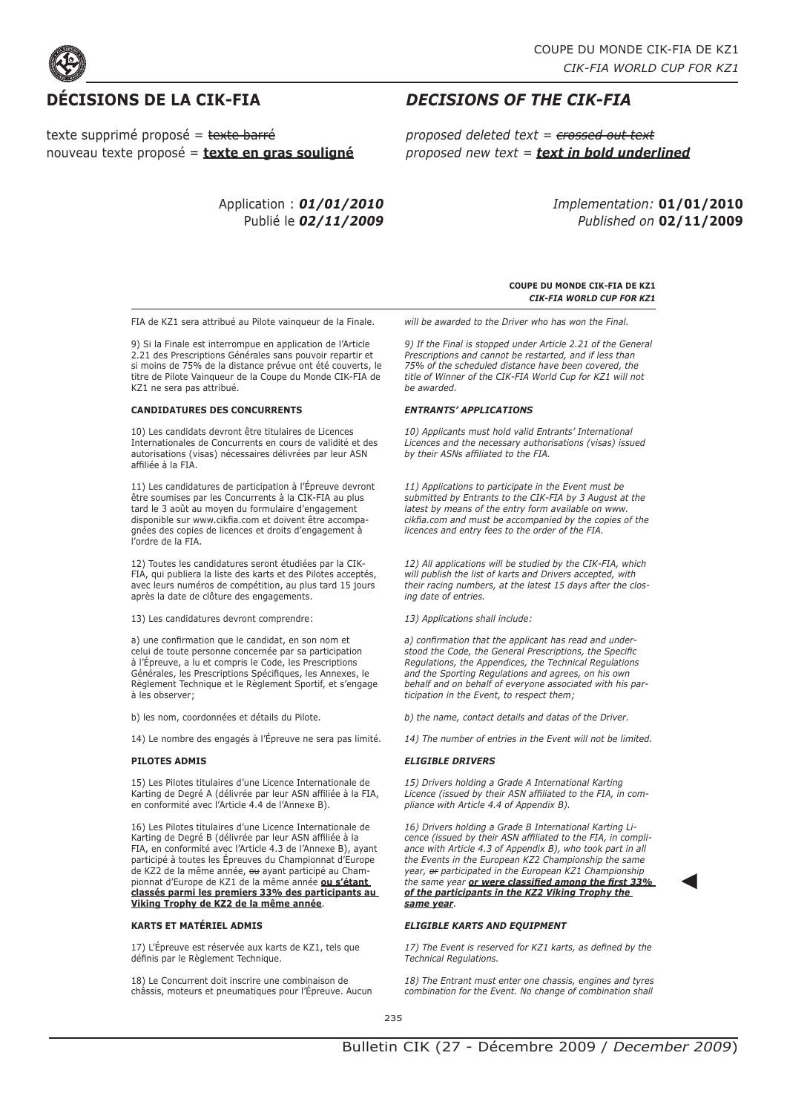

texte supprimé proposé = texte barré nouveau texte proposé = **texte en gras souligné**

## Application : *01/01/2010* Publié le *02/11/2009*

## *Implementation:* **01/01/2010** *Published on* **02/11/2009**

### **COUPE DU MONDE CIK-FIA DE KZ1** *CIK-FIA WORLD CUP FOR KZ1*

FIA de KZ1 sera attribué au Pilote vainqueur de la Finale.

9) Si la Finale est interrompue en application de l'Article 2.21 des Prescriptions Générales sans pouvoir repartir et si moins de 75% de la distance prévue ont été couverts, le titre de Pilote Vainqueur de la Coupe du Monde CIK-FIA de KZ1 ne sera pas attribué.

### **CANDIDATURES DES CONCURRENTS**

10) Les candidats devront être titulaires de Licences Internationales de Concurrents en cours de validité et des autorisations (visas) nécessaires délivrées par leur ASN affiliée à la FIA.

11) Les candidatures de participation à l'Épreuve devront être soumises par les Concurrents à la CIK-FIA au plus tard le 3 août au moyen du formulaire d'engagement disponible sur www.cikfia.com et doivent être accompagnées des copies de licences et droits d'engagement à l'ordre de la FIA.

12) Toutes les candidatures seront étudiées par la CIK-FIA, qui publiera la liste des karts et des Pilotes acceptés, avec leurs numéros de compétition, au plus tard 15 jours après la date de clôture des engagements.

13) Les candidatures devront comprendre:

a) une confirmation que le candidat, en son nom et celui de toute personne concernée par sa participation à l'Épreuve, a lu et compris le Code, les Prescriptions Générales, les Prescriptions Spécifiques, les Annexes, le Règlement Technique et le Règlement Sportif, et s'engage à les observer;

b) les nom, coordonnées et détails du Pilote.

14) Le nombre des engagés à l'Épreuve ne sera pas limité.

### **PILOTES ADMIS**

15) Les Pilotes titulaires d'une Licence Internationale de Karting de Degré A (délivrée par leur ASN affiliée à la FIA, en conformité avec l'Article 4.4 de l'Annexe B).

16) Les Pilotes titulaires d'une Licence Internationale de Karting de Degré B (délivrée par leur ASN affiliée à la FIA, en conformité avec l'Article 4.3 de l'Annexe B), ayant participé à toutes les Épreuves du Championnat d'Europe de KZ2 de la même année, ou ayant participé au Championnat d'Europe de KZ1 de la même année **ou s'étant classés parmi les premiers 33% des participants au Viking Trophy de KZ2 de la même année**.

### **KARTS ET MATÉRIEL ADMIS**

17) L'Épreuve est réservée aux karts de KZ1, tels que définis par le Règlement Technique.

18) Le Concurrent doit inscrire une combinaison de châssis, moteurs et pneumatiques pour l'Épreuve. Aucun *will be awarded to the Driver who has won the Final.*

*DECISIONS OF THE CIK-FIA*

*proposed deleted text = crossed out text proposed new text = text in bold underlined*

*9) If the Final is stopped under Article 2.21 of the General Prescriptions and cannot be restarted, and if less than 75% of the scheduled distance have been covered, the title of Winner of the CIK-FIA World Cup for KZ1 will not be awarded.*

### *ENTRANTS' APPLICATIONS*

*10) Applicants must hold valid Entrants' International Licences and the necessary authorisations (visas) issued by their ASNs affiliated to the FIA.*

*11) Applications to participate in the Event must be submitted by Entrants to the CIK-FIA by 3 August at the latest by means of the entry form available on www. cikfia.com and must be accompanied by the copies of the licences and entry fees to the order of the FIA.*

*12) All applications will be studied by the CIK-FIA, which will publish the list of karts and Drivers accepted, with their racing numbers, at the latest 15 days after the closing date of entries.*

*13) Applications shall include:*

*a) confirmation that the applicant has read and understood the Code, the General Prescriptions, the Specific Regulations, the Appendices, the Technical Regulations and the Sporting Regulations and agrees, on his own behalf and on behalf of everyone associated with his participation in the Event, to respect them;*

*b) the name, contact details and datas of the Driver.*

*14) The number of entries in the Event will not be limited.* 

### *ELIGIBLE DRIVERS*

*15) Drivers holding a Grade A International Karting Licence (issued by their ASN affiliated to the FIA, in compliance with Article 4.4 of Appendix B).*

*16) Drivers holding a Grade B International Karting Licence (issued by their ASN affiliated to the FIA, in compliance with Article 4.3 of Appendix B), who took part in all the Events in the European KZ2 Championship the same year, or participated in the European KZ1 Championship the same year or were classified among the first 33% of the participants in the KZ2 Viking Trophy the same year.*

◄

### *ELIGIBLE KARTS AND EQUIPMENT*

*17) The Event is reserved for KZ1 karts, as defined by the Technical Regulations.*

*18) The Entrant must enter one chassis, engines and tyres combination for the Event. No change of combination shall*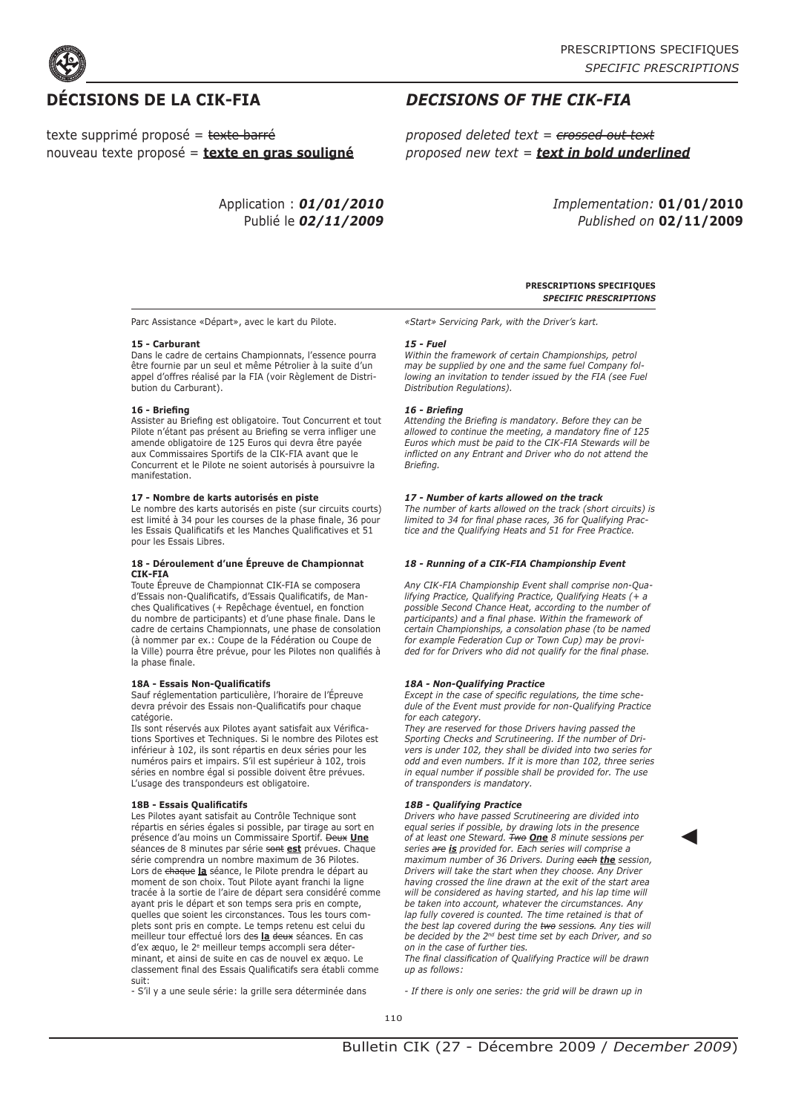

texte supprimé proposé = texte barré nouveau texte proposé = **texte en gras souligné**

## Application : *01/01/2010* Publié le *02/11/2009*

# *DECISIONS OF THE CIK-FIA*

*proposed deleted text = crossed out text proposed new text = text in bold underlined*

> *Implementation:* **01/01/2010** *Published on* **02/11/2009**

> > ◄

### **PRESCRIPTIONS SPECIFIQUES** *SPECIFIC PRESCRIPTIONS*

*«Start» Servicing Park, with the Driver's kart.*

### *15 - Fuel*

*Within the framework of certain Championships, petrol may be supplied by one and the same fuel Company following an invitation to tender issued by the FIA (see Fuel Distribution Regulations).*

### *16 - Briefing*

*Attending the Briefing is mandatory. Before they can be allowed to continue the meeting, a mandatory fine of 125 Euros which must be paid to the CIK-FIA Stewards will be inflicted on any Entrant and Driver who do not attend the Briefing.*

### *17 - Number of karts allowed on the track*

*The number of karts allowed on the track (short circuits) is limited to 34 for final phase races, 36 for Qualifying Practice and the Qualifying Heats and 51 for Free Practice.*

### *18 - Running of a CIK-FIA Championship Event*

*Any CIK-FIA Championship Event shall comprise non-Qualifying Practice, Qualifying Practice, Qualifying Heats (+ a possible Second Chance Heat, according to the number of participants) and a final phase. Within the framework of certain Championships, a consolation phase (to be named for example Federation Cup or Town Cup) may be provided for for Drivers who did not qualify for the final phase.*

### *18A - Non-Qualifying Practice*

*Except in the case of specific regulations, the time schedule of the Event must provide for non-Qualifying Practice for each category.*

*They are reserved for those Drivers having passed the Sporting Checks and Scrutineering. If the number of Drivers is under 102, they shall be divided into two series for odd and even numbers. If it is more than 102, three series in equal number if possible shall be provided for. The use of transponders is mandatory.*

### *18B - Qualifying Practice*

*Drivers who have passed Scrutineering are divided into equal series if possible, by drawing lots in the presence of at least one Steward. Two One 8 minute sessions per series are is provided for. Each series will comprise a maximum number of 36 Drivers. During each the session, Drivers will take the start when they choose. Any Driver having crossed the line drawn at the exit of the start area will be considered as having started, and his lap time will be taken into account, whatever the circumstances. Any lap fully covered is counted. The time retained is that of the best lap covered during the two sessions. Any ties will be decided by the 2nd best time set by each Driver, and so on in the case of further ties.* 

*The final classification of Qualifying Practice will be drawn up as follows:*

*- If there is only one series: the grid will be drawn up in* 

Parc Assistance «Départ», avec le kart du Pilote.

### **15 - Carburant**

Dans le cadre de certains Championnats, l'essence pourra être fournie par un seul et même Pétrolier à la suite d'un appel d'offres réalisé par la FIA (voir Règlement de Distribution du Carburant).

### **16 - Briefing**

Assister au Briefing est obligatoire. Tout Concurrent et tout Pilote n'étant pas présent au Briefing se verra infliger une amende obligatoire de 125 Euros qui devra être payée aux Commissaires Sportifs de la CIK-FIA avant que le Concurrent et le Pilote ne soient autorisés à poursuivre la manifestation.

### **17 - Nombre de karts autorisés en piste**

Le nombre des karts autorisés en piste (sur circuits courts) est limité à 34 pour les courses de la phase finale, 36 pour les Essais Qualificatifs et les Manches Qualificatives et 51 pour les Essais Libres.

### **18 - Déroulement d'une Épreuve de Championnat CIK-FIA**

Toute Épreuve de Championnat CIK-FIA se composera d'Essais non-Qualificatifs, d'Essais Qualificatifs, de Manches Qualificatives (+ Repêchage éventuel, en fonction du nombre de participants) et d'une phase finale. Dans le cadre de certains Championnats, une phase de consolation (à nommer par ex.: Coupe de la Fédération ou Coupe de la Ville) pourra être prévue, pour les Pilotes non qualifiés à la phase finale.

### **18A - Essais Non-Qualificatifs**

Sauf réglementation particulière, l'horaire de l'Épreuve devra prévoir des Essais non-Qualificatifs pour chaque catégorie.

Ils sont réservés aux Pilotes ayant satisfait aux Vérifications Sportives et Techniques. Si le nombre des Pilotes est inférieur à 102, ils sont répartis en deux séries pour les numéros pairs et impairs. S'il est supérieur à 102, trois séries en nombre égal si possible doivent être prévues. L'usage des transpondeurs est obligatoire.

### **18B - Essais Qualificatifs**

Les Pilotes ayant satisfait au Contrôle Technique sont répartis en séries égales si possible, par tirage au sort en présence d'au moins un Commissaire Sportif. Deux **Une** séances de 8 minutes par série sont **est** prévue*s*. Chaque série comprendra un nombre maximum de 36 Pilotes. Lors de chaque **la** séance, le Pilote prendra le départ au moment de son choix. Tout Pilote ayant franchi la ligne tracée à la sortie de l'aire de départ sera considéré comme ayant pris le départ et son temps sera pris en compte, quelles que soient les circonstances. Tous les tours complets sont pris en compte. Le temps retenu est celui du meilleur tour effectué lors des **la** deux séances. En cas d'ex æquo, le 2e meilleur temps accompli sera déterminant, et ainsi de suite en cas de nouvel ex æquo. Le classement final des Essais Qualificatifs sera établi comme suit:

- S'il y a une seule série: la grille sera déterminée dans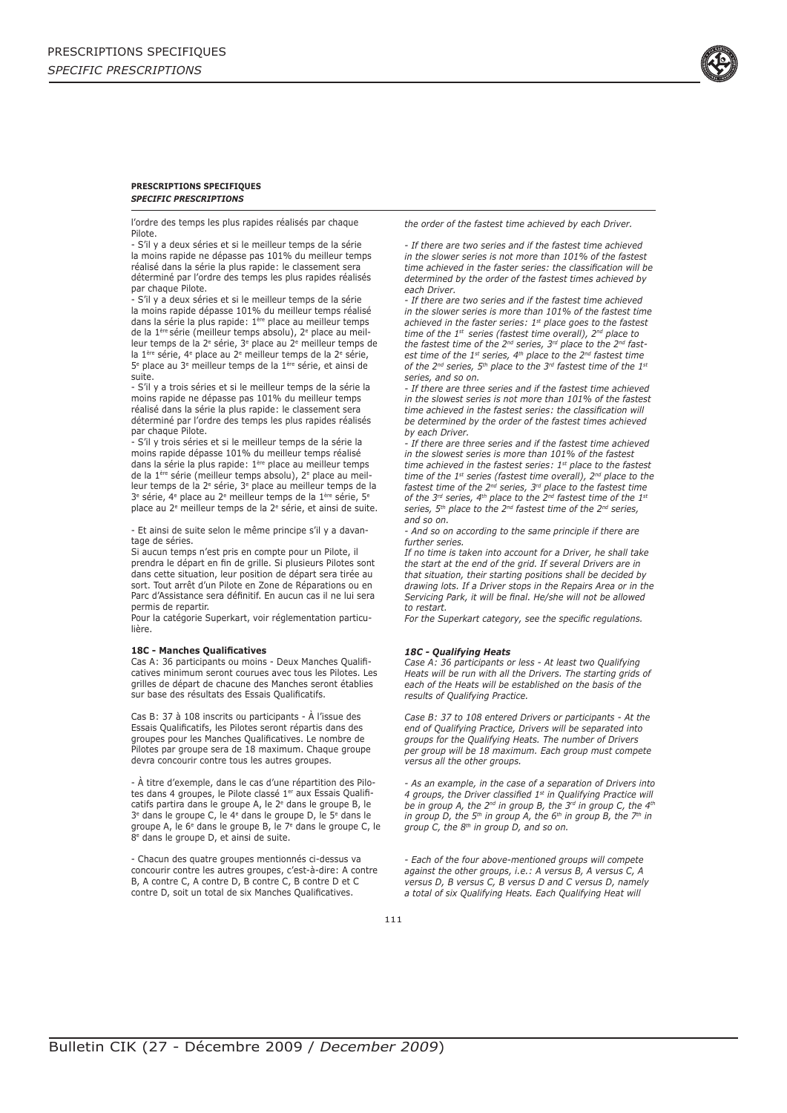### **PRESCRIPTIONS SPECIFIQUES** *SPECIFIC PRESCRIPTIONS*

l'ordre des temps les plus rapides réalisés par chaque Pilote.

- S'il y a deux séries et si le meilleur temps de la série la moins rapide ne dépasse pas 101% du meilleur temps réalisé dans la série la plus rapide: le classement sera déterminé par l'ordre des temps les plus rapides réalisés par chaque Pilote.

- S'il y a deux séries et si le meilleur temps de la série la moins rapide dépasse 101% du meilleur temps réalisé dans la série la plus rapide: 1ère place au meilleur temps de la 1ère série (meilleur temps absolu), 2e place au meilleur temps de la 2e série, 3e place au 2e meilleur temps de la 1ère série, 4<sup>e</sup> place au 2<sup>e</sup> meilleur temps de la 2<sup>e</sup> série, 5e place au 3e meilleur temps de la 1ère série, et ainsi de suite.

- S'il y a trois séries et si le meilleur temps de la série la moins rapide ne dépasse pas 101% du meilleur temps réalisé dans la série la plus rapide: le classement sera déterminé par l'ordre des temps les plus rapides réalisés par chaque Pilote.

- S'il y trois séries et si le meilleur temps de la série la moins rapide dépasse 101% du meilleur temps réalisé dans la série la plus rapide: 1ère place au meilleur temps de la 1ère série (meilleur temps absolu), 2e place au meilleur temps de la 2e série, 3e place au meilleur temps de la 3<sup>e</sup> série, <sup>4e</sup> place au 2<sup>e</sup> meilleur temps de la 1<sup>ère</sup> série, 5<sup>e</sup> place au 2e meilleur temps de la 2e série, et ainsi de suite.

- Et ainsi de suite selon le même principe s'il y a davantage de séries.

Si aucun temps n'est pris en compte pour un Pilote, il prendra le départ en fin de grille. Si plusieurs Pilotes sont dans cette situation, leur position de départ sera tirée au sort. Tout arrêt d'un Pilote en Zone de Réparations ou en Parc d'Assistance sera définitif. En aucun cas il ne lui sera permis de repartir.

Pour la catégorie Superkart, voir réglementation particulière.

### **18C - Manches Qualificatives**

Cas A: 36 participants ou moins - Deux Manches Qualificatives minimum seront courues avec tous les Pilotes. Les grilles de départ de chacune des Manches seront établies sur base des résultats des Essais Qualificatifs.

Cas B: 37 à 108 inscrits ou participants - À l'issue des Essais Qualificatifs, les Pilotes seront répartis dans des groupes pour les Manches Qualificatives. Le nombre de Pilotes par groupe sera de 18 maximum. Chaque groupe devra concourir contre tous les autres groupes.

- À titre d'exemple, dans le cas d'une répartition des Pilotes dans 4 groupes, le Pilote classé 1<sup>er</sup> aux Essais Qualificatifs partira dans le groupe A, le 2e dans le groupe B, le 3e dans le groupe C, le 4e dans le groupe D, le 5e dans le groupe A, le 6<sup>e</sup> dans le groupe B, le 7<sup>e</sup> dans le groupe C, le 8e dans le groupe D, et ainsi de suite.

- Chacun des quatre groupes mentionnés ci-dessus va concourir contre les autres groupes, c'est-à-dire: A contre B, A contre C, A contre D, B contre C, B contre D et C contre D, soit un total de six Manches Qualificatives.

*the order of the fastest time achieved by each Driver.*

*- If there are two series and if the fastest time achieved in the slower series is not more than 101% of the fastest time achieved in the faster series: the classification will be determined by the order of the fastest times achieved by each Driver.*

*- If there are two series and if the fastest time achieved in the slower series is more than 101% of the fastest time achieved in the faster series: 1st place goes to the fastest time of the 1st series (fastest time overall), 2nd place to the fastest time of the 2nd series, 3rd place to the 2nd fastest time of the 1st series, 4th place to the 2nd fastest time of the 2nd series, 5th place to the 3rd fastest time of the 1st series, and so on.*

*- If there are three series and if the fastest time achieved in the slowest series is not more than 101% of the fastest time achieved in the fastest series: the classification will be determined by the order of the fastest times achieved by each Driver.*

*- If there are three series and if the fastest time achieved in the slowest series is more than 101% of the fastest time achieved in the fastest series: 1st place to the fastest time of the 1st series (fastest time overall), 2nd place to the fastest time of the 2nd series, 3rd place to the fastest time of the 3rd series, 4th place to the 2nd fastest time of the 1st series, 5th place to the 2nd fastest time of the 2nd series, and so on.*

*- And so on according to the same principle if there are further series.*

*If no time is taken into account for a Driver, he shall take the start at the end of the grid. If several Drivers are in that situation, their starting positions shall be decided by drawing lots. If a Driver stops in the Repairs Area or in the Servicing Park, it will be final. He/she will not be allowed to restart.*

*For the Superkart category, see the specific regulations.*

#### *18C - Qualifying Heats*

*Case A: 36 participants or less - At least two Qualifying Heats will be run with all the Drivers. The starting grids of each of the Heats will be established on the basis of the results of Qualifying Practice.*

*Case B: 37 to 108 entered Drivers or participants - At the end of Qualifying Practice, Drivers will be separated into groups for the Qualifying Heats. The number of Drivers per group will be 18 maximum. Each group must compete versus all the other groups.*

*- As an example, in the case of a separation of Drivers into 4 groups, the Driver classified 1st in Qualifying Practice will be in group A, the 2nd in group B, the 3rd in group C, the 4th in group D, the 5th in group A, the 6th in group B, the 7th in group C, the 8th in group D, and so on.*

*- Each of the four above-mentioned groups will compete against the other groups, i.e.: A versus B, A versus C, A versus D, B versus C, B versus D and C versus D, namely a total of six Qualifying Heats. Each Qualifying Heat will*